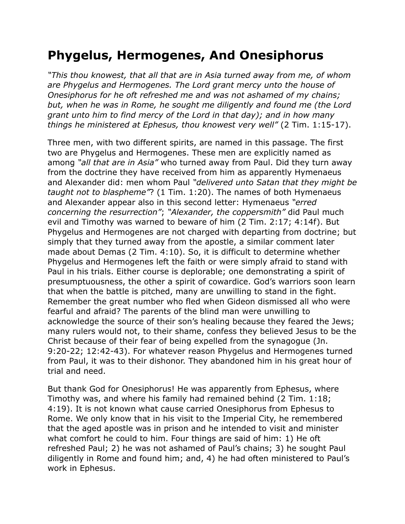## **Phygelus, Hermogenes, And Onesiphorus**

*"This thou knowest, that all that are in Asia turned away from me, of whom are Phygelus and Hermogenes. The Lord grant mercy unto the house of Onesiphorus for he oft refreshed me and was not ashamed of my chains; but, when he was in Rome, he sought me diligently and found me (the Lord grant unto him to find mercy of the Lord in that day); and in how many things he ministered at Ephesus, thou knowest very well"* (2 Tim. 1:15-17).

Three men, with two different spirits, are named in this passage. The first two are Phygelus and Hermogenes. These men are explicitly named as among *"all that are in Asia"* who turned away from Paul. Did they turn away from the doctrine they have received from him as apparently Hymenaeus and Alexander did: men whom Paul *"delivered unto Satan that they might be taught not to blaspheme"*? (1 Tim. 1:20). The names of both Hymenaeus and Alexander appear also in this second letter: Hymenaeus *"erred concerning the resurrection"*; *"Alexander, the coppersmith"* did Paul much evil and Timothy was warned to beware of him (2 Tim. 2:17; 4:14f). But Phygelus and Hermogenes are not charged with departing from doctrine; but simply that they turned away from the apostle, a similar comment later made about Demas (2 Tim. 4:10). So, it is difficult to determine whether Phygelus and Hermogenes left the faith or were simply afraid to stand with Paul in his trials. Either course is deplorable; one demonstrating a spirit of presumptuousness, the other a spirit of cowardice. God's warriors soon learn that when the battle is pitched, many are unwilling to stand in the fight. Remember the great number who fled when Gideon dismissed all who were fearful and afraid? The parents of the blind man were unwilling to acknowledge the source of their son's healing because they feared the Jews; many rulers would not, to their shame, confess they believed Jesus to be the Christ because of their fear of being expelled from the synagogue (Jn. 9:20-22; 12:42-43). For whatever reason Phygelus and Hermogenes turned from Paul, it was to their dishonor. They abandoned him in his great hour of trial and need.

But thank God for Onesiphorus! He was apparently from Ephesus, where Timothy was, and where his family had remained behind (2 Tim. 1:18; 4:19). It is not known what cause carried Onesiphorus from Ephesus to Rome. We only know that in his visit to the Imperial City, he remembered that the aged apostle was in prison and he intended to visit and minister what comfort he could to him. Four things are said of him: 1) He oft refreshed Paul; 2) he was not ashamed of Paul's chains; 3) he sought Paul diligently in Rome and found him; and, 4) he had often ministered to Paul's work in Ephesus.